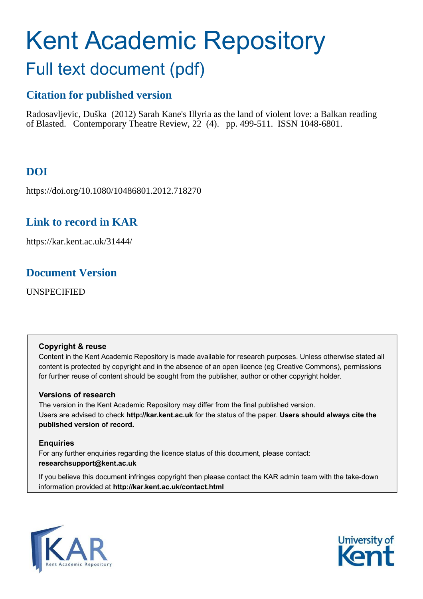# Kent Academic Repository

## Full text document (pdf)

## **Citation for published version**

Radosavljevic, Duška (2012) Sarah Kane's Illyria as the land of violent love: a Balkan reading of Blasted. Contemporary Theatre Review, 22 (4). pp. 499-511. ISSN 1048-6801.

## **DOI**

https://doi.org/10.1080/10486801.2012.718270

## **Link to record in KAR**

https://kar.kent.ac.uk/31444/

## **Document Version**

UNSPECIFIED

## **Copyright & reuse**

Content in the Kent Academic Repository is made available for research purposes. Unless otherwise stated all content is protected by copyright and in the absence of an open licence (eg Creative Commons), permissions for further reuse of content should be sought from the publisher, author or other copyright holder.

## **Versions of research**

The version in the Kent Academic Repository may differ from the final published version. Users are advised to check **http://kar.kent.ac.uk** for the status of the paper. **Users should always cite the published version of record.**

## **Enquiries**

For any further enquiries regarding the licence status of this document, please contact: **researchsupport@kent.ac.uk**

If you believe this document infringes copyright then please contact the KAR admin team with the take-down information provided at **http://kar.kent.ac.uk/contact.html**



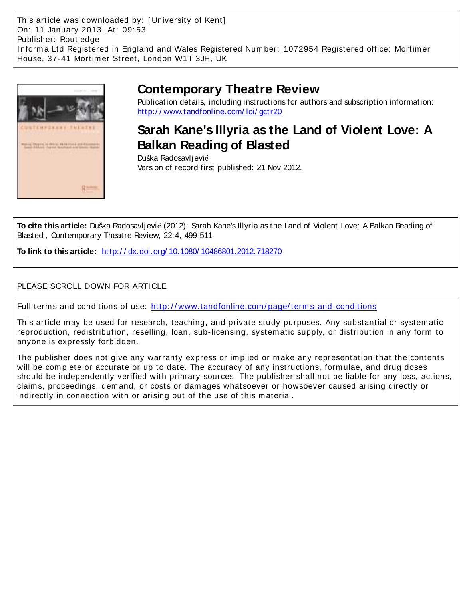This article was downloaded by: [ University of Kent] On: 11 January 2013, At: 09: 53 Publisher: Routledge I nform a Ltd Registered in England and Wales Registered Num ber: 1072954 Registered office: Mortim er House, 37-41 Mortim er Street, London W1T 3JH, UK



## **Contemporary Theatre Review**

Publication details, including instructions for authors and subscription information: http://www.tandfonline.com/loi/gctr20

## **Sarah Kane's Illyria as the Land of Violent Love: A Balkan Reading of Blasted**

Duška Radosavlj ević Version of record first published: 21 Nov 2012.

**To cite this article:** Duška Radosavlj ević (2012): Sarah Kane's Illyria as the Land of Violent Love: A Balkan Reading of Blasted , Contemporary Theatre Review, 22:4, 499-511

**To link to this article:** [http:/ / dx.doi.org/ 10.1080/ 10486801.2012.718270](http://dx.doi.org/10.1080/10486801.2012.718270)

### PLEASE SCROLL DOWN FOR ARTICLE

Full terms and conditions of use: http://www.tandfonline.com/page/terms-and-conditions

This article m ay be used for research, teaching, and private study purposes. Any substantial or system atic reproduction, redistribution, reselling, loan, sub-licensing, system atic supply, or distribution in any form to anyone is expressly forbidden.

The publisher does not give any warranty express or im plied or m ake any representation that the contents will be complete or accurate or up to date. The accuracy of any instructions, formulae, and drug doses should be independently verified with prim ary sources. The publisher shall not be liable for any loss, actions, claim s, proceedings, dem and, or costs or dam ages whatsoever or howsoever caused arising directly or indirectly in connection with or arising out of the use of this m aterial.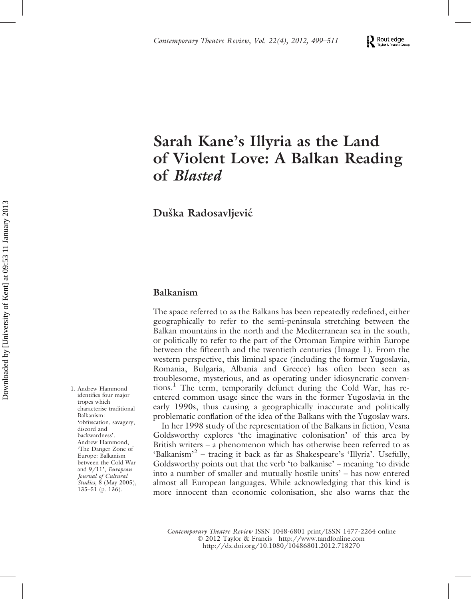#### $\sum_{\text{revex} \text{ Frouds} }$ Taylor & Francis Group

## Sarah Kane's Illyria as the Land of Violent Love: A Balkan Reading of Blasted

Duška Radosavljević

#### Balkanism

The space referred to as the Balkans has been repeatedly redefined, either geographically to refer to the semi-peninsula stretching between the Balkan mountains in the north and the Mediterranean sea in the south, or politically to refer to the part of the Ottoman Empire within Europe between the fifteenth and the twentieth centuries (Image 1). From the western perspective, this liminal space (including the former Yugoslavia, Romania, Bulgaria, Albania and Greece) has often been seen as troublesome, mysterious, and as operating under idiosyncratic conventions.<sup>1</sup> The term, temporarily defunct during the Cold War, has reentered common usage since the wars in the former Yugoslavia in the early 1990s, thus causing a geographically inaccurate and politically problematic conflation of the idea of the Balkans with the Yugoslav wars.

In her 1998 study of the representation of the Balkans in fiction, Vesna Goldsworthy explores 'the imaginative colonisation' of this area by British writers – a phenomenon which has otherwise been referred to as 'Balkanism'<sup>2</sup> - tracing it back as far as Shakespeare's 'Illyria'. Usefully, Goldsworthy points out that the verb 'to balkanise' – meaning 'to divide into a number of smaller and mutually hostile units' – has now entered almost all European languages. While acknowledging that this kind is more innocent than economic colonisation, she also warns that the

*Contemporary Theatre Review* ISSN 1048-6801 print/ISSN 1477-2264 online - 2012 Taylor & Francis http://www.tandfonline.com http://dx.doi.org/10.1080/10486801.2012.718270

1. Andrew Hammond identifies four major tropes which characterise traditional Balkanism: 'obfuscation, savagery, discord and backwardness'. Andrew Hammond, 'The Danger Zone of Europe: Balkanism between the Cold War and 9/11', *European Journal of Cultural Studies*, 8 (May 2005), 135–51 (p. 136).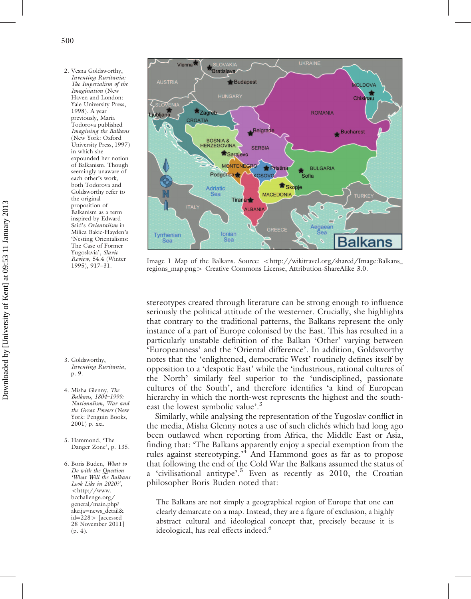2. Vesna Goldsworthy, *Inventing Ruritania: The Imperialism of the Imagination* (New Haven and London: Yale University Press, 1998). A year previously, Maria Todorova published *Imagining the Balkans* (New York: Oxford University Press, 1997) in which she expounded her notion of Balkanism. Though seemingly unaware of each other's work, both Todorova and Goldsworthy refer to the original proposition of Balkanism as a term inspired by Edward Said's *Orientalism* in Milica Bakic-Hayden's 'Nesting Orientalisms: The Case of Former Yugoslavia', *Slavic Review*, 54.4 (Winter 1995), 917–31.

- 3. Goldsworthy, *Inventing Ruritania*, p. 9.
- 4. Misha Glenny, *The Balkans, 1804–1999: Nationalism, War and the Great Powers* (New York: Penguin Books, 2001) p. xxi.
- 5. Hammond, 'The Danger Zone', p. 135.
- 6. Boris Buden, *What to Do with the Question 'What Will the Balkans Look Like in 2020?'*, 5[http://www.](http://www.bcchallenge.org/general/main.php?akcija=news_detail&id=228) [bcchallenge.org/](http://www.bcchallenge.org/general/main.php?akcija=news_detail&id=228) [general/main.php?](http://www.bcchallenge.org/general/main.php?akcija=news_detail&id=228) [akcija](http://www.bcchallenge.org/general/main.php?akcija=news_detail&id=228)=[news\\_detail&](http://www.bcchallenge.org/general/main.php?akcija=news_detail&id=228)  $id=228$  $id=228$  $id=228$  [accessed 28 November 2011] (p. 4).



Image 1 Map of the Balkans. Source: <[http://wikitravel.org/shared/Image:Balkans\\_](http://wikitravel.org/shared/Image:Balkans_regions_map.png) [regions\\_map.png](http://wikitravel.org/shared/Image:Balkans_regions_map.png)> Creative Commons License, Attribution-ShareAlike 3.0.

stereotypes created through literature can be strong enough to influence seriously the political attitude of the westerner. Crucially, she highlights that contrary to the traditional patterns, the Balkans represent the only instance of a part of Europe colonised by the East. This has resulted in a particularly unstable definition of the Balkan 'Other' varying between 'Europeanness' and the 'Oriental difference'. In addition, Goldsworthy notes that the 'enlightened, democratic West' routinely defines itself by opposition to a 'despotic East' while the 'industrious, rational cultures of the North' similarly feel superior to the 'undisciplined, passionate cultures of the South', and therefore identifies 'a kind of European hierarchy in which the north-west represents the highest and the southeast the lowest symbolic value'.<sup>3</sup>

Similarly, while analysing the representation of the Yugoslav conflict in the media, Misha Glenny notes a use of such cliches which had long ago been outlawed when reporting from Africa, the Middle East or Asia, finding that: 'The Balkans apparently enjoy a special exemption from the rules against stereotyping.'<sup>4</sup> And Hammond goes as far as to propose that following the end of the Cold War the Balkans assumed the status of a 'civilisational antitype'.<sup>5</sup> Even as recently as 2010, the Croatian philosopher Boris Buden noted that:

The Balkans are not simply a geographical region of Europe that one can clearly demarcate on a map. Instead, they are a figure of exclusion, a highly abstract cultural and ideological concept that, precisely because it is ideological, has real effects indeed.<sup>6</sup>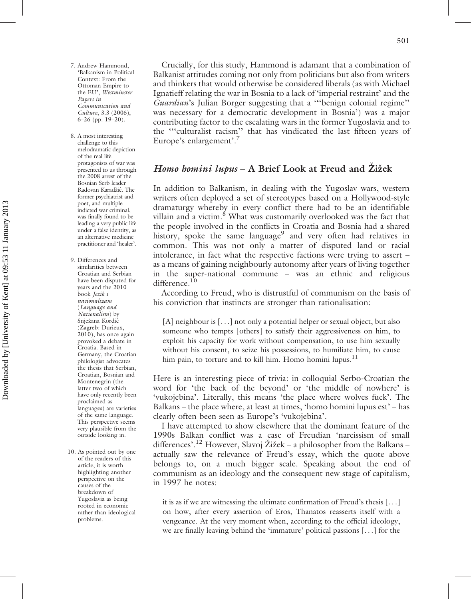- 7. Andrew Hammond, 'Balkanism in Political Context: From the Ottoman Empire to the EU', *Westminster Papers in Communication and Culture*, 3.3 (2006), 6–26 (pp. 19–20).
- 8. A most interesting challenge to this melodramatic depiction of the real life protagonists of war was presented to us through the 2008 arrest of the Bosnian Serb leader Radovan Karadžić. The former psychiatrist and poet, and multiple indicted war criminal, was finally found to be leading a very public life under a false identity, as an alternative medicine practitioner and 'healer'.
- 9. Differences and similarities between Croatian and Serbian have been disputed for years and the 2010 book *Jezik i nacionalizam* (*Language and Nationalism*) by Snježana Kordić (Zagreb: Durieux, 2010), has once again provoked a debate in Croatia. Based in Germany, the Croatian philologist advocates the thesis that Serbian, Croatian, Bosnian and Montenegrin (the latter two of which have only recently been proclaimed as languages) are varieties of the same language. This perspective seems very plausible from the outside looking in.
- 10. As pointed out by one of the readers of this article, it is worth highlighting another perspective on the causes of the breakdown of Yugoslavia as being rooted in economic rather than ideological problems.

Crucially, for this study, Hammond is adamant that a combination of Balkanist attitudes coming not only from politicians but also from writers and thinkers that would otherwise be considered liberals (as with Michael Ignatieff relating the war in Bosnia to a lack of 'imperial restraint' and the *Guardian*'s Julian Borger suggesting that a '''benign colonial regime'' was necessary for a democratic development in Bosnia') was a major contributing factor to the escalating wars in the former Yugoslavia and to the '''culturalist racism'' that has vindicated the last fifteen years of Europe's enlargement'.<sup>7</sup>

#### Homo homini lupus – A Brief Look at Freud and Żiżek

In addition to Balkanism, in dealing with the Yugoslav wars, western writers often deployed a set of stereotypes based on a Hollywood-style dramaturgy whereby in every conflict there had to be an identifiable villain and a victim.<sup>8</sup> What was customarily overlooked was the fact that the people involved in the conflicts in Croatia and Bosnia had a shared history, spoke the same language<sup>9</sup> and very often had relatives in common. This was not only a matter of disputed land or racial intolerance, in fact what the respective factions were trying to assert – as a means of gaining neighbourly autonomy after years of living together in the super-national commune – was an ethnic and religious difference.<sup>10</sup>

According to Freud, who is distrustful of communism on the basis of his conviction that instincts are stronger than rationalisation:

[A] neighbour is [...] not only a potential helper or sexual object, but also someone who tempts [others] to satisfy their aggressiveness on him, to exploit his capacity for work without compensation, to use him sexually without his consent, to seize his possessions, to humiliate him, to cause him pain, to torture and to kill him. Homo homini lupus. $^{11}$ 

Here is an interesting piece of trivia: in colloquial Serbo-Croatian the word for 'the back of the beyond' or 'the middle of nowhere' is 'vukojebina'. Literally, this means 'the place where wolves fuck'. The Balkans – the place where, at least at times, 'homo homini lupus est' – has clearly often been seen as Europe's 'vukojebina'.

I have attempted to show elsewhere that the dominant feature of the 1990s Balkan conflict was a case of Freudian 'narcissism of small differences'.<sup>12</sup> However, Slavoj Žižek – a philosopher from the Balkans – actually saw the relevance of Freud's essay, which the quote above belongs to, on a much bigger scale. Speaking about the end of communism as an ideology and the consequent new stage of capitalism, in 1997 he notes:

it is as if we are witnessing the ultimate confirmation of Freud's thesis [. . .] on how, after every assertion of Eros, Thanatos reasserts itself with a vengeance. At the very moment when, according to the official ideology, we are finally leaving behind the 'immature' political passions [. . .] for the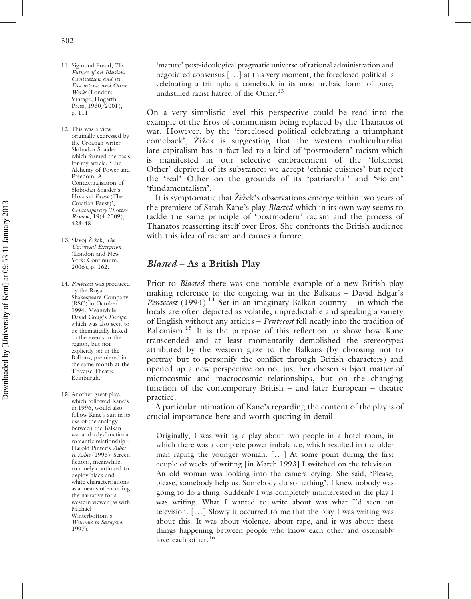- 11. Sigmund Freud, *The Future of an Illusion, Civilisation and its Discontents and Other Works* (London: Vintage, Hogarth Press,  $1930/2001$ ). p. 111.
- 12. This was a view originally expressed by the Croatian writer Slobodan Šnajder which formed the basis for my article, 'The Alchemy of Power and Freedom: A Contextualisation of Slobodan Šnajder's Hrvatski *Faust* (The Croatian Faust)', *Contemporary Theatre Review*, 19(4 2009), 428–48.
- 13. Slavoj Žižek, *The Universal Exception* (London and New York: Continuum, 2006), p. 162.
- 14. *Pentecost* was produced by the Royal Shakespeare Company (RSC) in October 1994. Meanwhile David Greig's *Europe*, which was also seen to be thematically linked to the events in the region, but not explicitly set in the Balkans, premiered in the same month at the Traverse Theatre, Edinburgh.
- 15. Another great play, which followed Kane's in 1996, would also follow Kane's suit in its use of the analogy between the Balkan war and a dysfunctional romantic relationship – Harold Pinter's *Ashes to Ashes* (1996). Screen fictions, meanwhile, routinely continued to deploy black-andwhite characterisations as a means of encoding the narrative for a western viewer (as with Michael Winterbottom's *Welcome to Sarajevo*, 1997).

'mature' post-ideological pragmatic universe of rational administration and negotiated consensus [. . .] at this very moment, the foreclosed political is celebrating a triumphant comeback in its most archaic form: of pure, undistilled racist hatred of the Other.<sup>13</sup>

On a very simplistic level this perspective could be read into the example of the Eros of communism being replaced by the Thanatos of war. However, by the 'foreclosed political celebrating a triumphant comeback', Zižek is suggesting that the western multiculturalist late-capitalism has in fact led to a kind of 'postmodern' racism which is manifested in our selective embracement of the 'folklorist Other' deprived of its substance: we accept 'ethnic cuisines' but reject the 'real' Other on the grounds of its 'patriarchal' and 'violent' 'fundamentalism'.

It is symptomatic that Žižek's observations emerge within two years of the premiere of Sarah Kane's play *Blasted* which in its own way seems to tackle the same principle of 'postmodern' racism and the process of Thanatos reasserting itself over Eros. She confronts the British audience with this idea of racism and causes a furore.

#### Blasted – As a British Play

Prior to *Blasted* there was one notable example of a new British play making reference to the ongoing war in the Balkans – David Edgar's *Pentecost* (1994).<sup>14</sup> Set in an imaginary Balkan country – in which the locals are often depicted as volatile, unpredictable and speaking a variety of English without any articles – *Pentecost* fell neatly into the tradition of Balkanism.<sup>15</sup> It is the purpose of this reflection to show how Kane transcended and at least momentarily demolished the stereotypes attributed by the western gaze to the Balkans (by choosing not to portray but to personify the conflict through British characters) and opened up a new perspective on not just her chosen subject matter of microcosmic and macrocosmic relationships, but on the changing function of the contemporary British – and later European – theatre practice.

A particular intimation of Kane's regarding the content of the play is of crucial importance here and worth quoting in detail:

Originally, I was writing a play about two people in a hotel room, in which there was a complete power imbalance, which resulted in the older man raping the younger woman. [. . .] At some point during the first couple of weeks of writing [in March 1993] I switched on the television. An old woman was looking into the camera crying. She said, 'Please, please, somebody help us. Somebody do something'. I knew nobody was going to do a thing. Suddenly I was completely uninterested in the play I was writing. What I wanted to write about was what I'd seen on television. [. . .] Slowly it occurred to me that the play I was writing was about this. It was about violence, about rape, and it was about these things happening between people who know each other and ostensibly love each other.<sup>16</sup>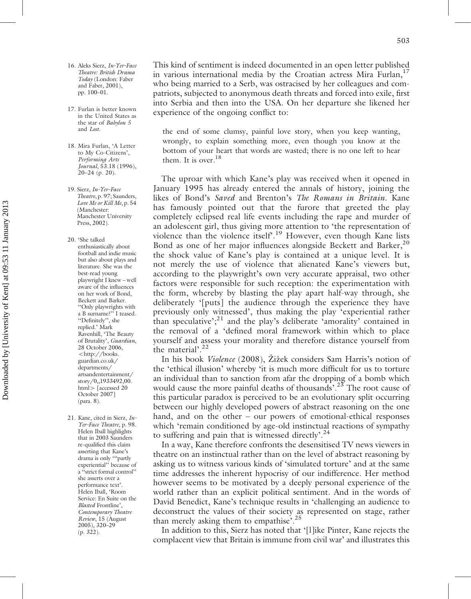- 16. Aleks Sierz, *In-Yer-Face Theatre: British Drama Today* (London: Faber and Faber, 2001), pp. 100–01.
- 17. Furlan is better known in the United States as the star of *Babylon 5* and *Lost*.
- 18. Mira Furlan, 'A Letter to My Co-Citizens', *Performing Arts Journal*, 53.18 (1996), 20–24 (p. 20).
- 19. Sierz, *In-Yer-Face Theatre*, p. 97; Saunders, *Love Me or Kill Me*, p. 54 (Manchester: Manchester University Press, 2002).
- 20. 'She talked enthusiastically about football and indie music but also about plays and literature. She was the best-read young playwright I knew – well aware of the influences on her work of Bond, Beckett and Barker. ''Only playwrights with a B surname?'' I teased. ''Definitely'', she replied.' Mark Ravenhill, 'The Beauty of Brutality', *Guardian*, 28 October 2006, 5[http://books.](http://books.guardian.co.uk/departments/artsandentertainment/story/0,,1933492,00.html) [guardian.co.uk/](http://books.guardian.co.uk/departments/artsandentertainment/story/0,,1933492,00.html) [departments/](http://books.guardian.co.uk/departments/artsandentertainment/story/0,,1933492,00.html) [artsandentertainment/](http://books.guardian.co.uk/departments/artsandentertainment/story/0,,1933492,00.html) [story/0,,1933492,00.](http://books.guardian.co.uk/departments/artsandentertainment/story/0,,1933492,00.html) [html](http://books.guardian.co.uk/departments/artsandentertainment/story/0,,1933492,00.html) $>$  [accessed 20 October 2007] (para. 8).
- 21. Kane, cited in Sierz, *In-Yer-Face Theatre*, p. 98. Helen Iball highlights that in 2003 Saunders re-qualified this claim asserting that Kane's drama is only '''partly experiential'' because of a ''strict formal control'' she asserts over a performance text'. Helen Iball, 'Room Service: En Suite on the *Blasted* Frontline', *Contemporary Theatre Review*, 15 (August 2005), 320–29 (p. 322).

This kind of sentiment is indeed documented in an open letter published in various international media by the Croatian actress Mira Furlan, $<sup>1</sup>$ </sup> who being married to a Serb, was ostracised by her colleagues and compatriots, subjected to anonymous death threats and forced into exile, first into Serbia and then into the USA. On her departure she likened her experience of the ongoing conflict to:

the end of some clumsy, painful love story, when you keep wanting, wrongly, to explain something more, even though you know at the bottom of your heart that words are wasted; there is no one left to hear them. It is over.<sup>18</sup>

The uproar with which Kane's play was received when it opened in January 1995 has already entered the annals of history, joining the likes of Bond's *Saved* and Brenton's *The Romans in Britain*. Kane has famously pointed out that the furore that greeted the play completely eclipsed real life events including the rape and murder of an adolescent girl, thus giving more attention to 'the representation of violence than the violence itself'.<sup>19</sup> However, even though Kane lists Bond as one of her major influences alongside Beckett and Barker,<sup>20</sup> the shock value of Kane's play is contained at a unique level. It is not merely the use of violence that alienated Kane's viewers but, according to the playwright's own very accurate appraisal, two other factors were responsible for such reception: the experimentation with the form, whereby by blasting the play apart half-way through, she deliberately '[puts] the audience through the experience they have previously only witnessed', thus making the play 'experiential rather than speculative';<sup>21</sup> and the play's deliberate 'amorality' contained in the removal of a 'defined moral framework within which to place yourself and assess your morality and therefore distance yourself from the material'.<sup>22</sup>

In his book *Violence* (2008), Zižek considers Sam Harris's notion of the 'ethical illusion' whereby 'it is much more difficult for us to torture an individual than to sanction from afar the dropping of a bomb which would cause the more painful deaths of thousands'.<sup>23</sup> The root cause of this particular paradox is perceived to be an evolutionary split occurring between our highly developed powers of abstract reasoning on the one hand, and on the other – our powers of emotional-ethical responses which 'remain conditioned by age-old instinctual reactions of sympathy to suffering and pain that is witnessed directly'.<sup>24</sup>

In a way, Kane therefore confronts the desensitised TV news viewers in theatre on an instinctual rather than on the level of abstract reasoning by asking us to witness various kinds of 'simulated torture' and at the same time addresses the inherent hypocrisy of our indifference. Her method however seems to be motivated by a deeply personal experience of the world rather than an explicit political sentiment. And in the words of David Benedict, Kane's technique results in 'challenging an audience to deconstruct the values of their society as represented on stage, rather than merely asking them to empathise'.<sup>25</sup>

In addition to this, Sierz has noted that '[l]ike Pinter, Kane rejects the complacent view that Britain is immune from civil war' and illustrates this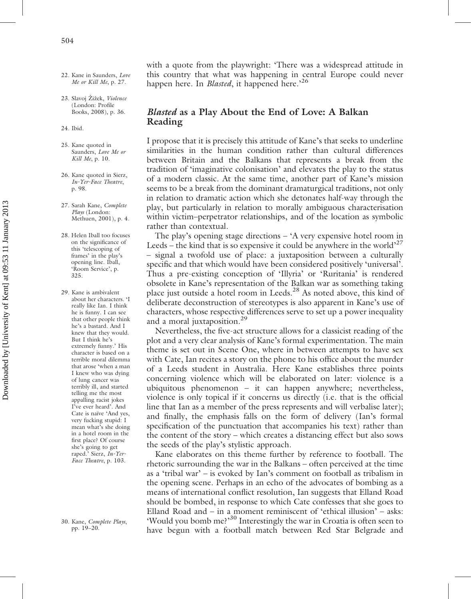- 22. Kane in Saunders, *Love Me or Kill Me*, p. 27.
- 23. Slavoj Žižek, Violence (London: Profile Books, 2008), p. 36.
- 24. Ibid.
- 25. Kane quoted in Saunders, *Love Me or Kill Me*, p. 10.
- 26. Kane quoted in Sierz, *In-Yer-Face Theatre*, p. 98.
- 27. Sarah Kane, *Complete Plays* (London: Methuen, 2001), p. 4.
- 28. Helen Iball too focuses on the significance of this 'telescoping of frames' in the play's opening line. Iball, 'Room Service', p. 325.
- 29. Kane is ambivalent about her characters. 'I really like Ian. I think he is funny. I can see that other people think he's a bastard. And I knew that they would. But I think he's extremely funny.' His character is based on a terrible moral dilemma that arose 'when a man I knew who was dying of lung cancer was terribly ill, and started telling me the most appalling racist jokes I've ever heard'. And Cate is naïve 'And yes, very fucking stupid: I mean what's she doing in a hotel room in the first place? Of course she's going to get raped.' Sierz, *In-Yer-Face Theatre*, p. 103.

30. Kane, *Complete Plays*, pp. 19–20.

with a quote from the playwright: 'There was a widespread attitude in this country that what was happening in central Europe could never happen here. In *Blasted*, it happened here.'26

#### Blasted as a Play About the End of Love: A Balkan Reading

I propose that it is precisely this attitude of Kane's that seeks to underline similarities in the human condition rather than cultural differences between Britain and the Balkans that represents a break from the tradition of 'imaginative colonisation' and elevates the play to the status of a modern classic. At the same time, another part of Kane's mission seems to be a break from the dominant dramaturgical traditions, not only in relation to dramatic action which she detonates half-way through the play, but particularly in relation to morally ambiguous characterisation within victim–perpetrator relationships, and of the location as symbolic rather than contextual.

The play's opening stage directions – 'A very expensive hotel room in Leeds – the kind that is so expensive it could be anywhere in the world<sup> $27$ </sup> – signal a twofold use of place: a juxtaposition between a culturally specific and that which would have been considered positively 'universal'. Thus a pre-existing conception of 'Illyria' or 'Ruritania' is rendered obsolete in Kane's representation of the Balkan war as something taking place just outside a hotel room in Leeds.<sup>28</sup> As noted above, this kind of deliberate deconstruction of stereotypes is also apparent in Kane's use of characters, whose respective differences serve to set up a power inequality and a moral juxtaposition.<sup>29</sup>

Nevertheless, the five-act structure allows for a classicist reading of the plot and a very clear analysis of Kane's formal experimentation. The main theme is set out in Scene One, where in between attempts to have sex with Cate, Ian recites a story on the phone to his office about the murder of a Leeds student in Australia. Here Kane establishes three points concerning violence which will be elaborated on later: violence is a ubiquitous phenomenon – it can happen anywhere; nevertheless, violence is only topical if it concerns us directly (i.e. that is the official line that Ian as a member of the press represents and will verbalise later); and finally, the emphasis falls on the form of delivery (Ian's formal specification of the punctuation that accompanies his text) rather than the content of the story – which creates a distancing effect but also sows the seeds of the play's stylistic approach.

Kane elaborates on this theme further by reference to football. The rhetoric surrounding the war in the Balkans – often perceived at the time as a 'tribal war' – is evoked by Ian's comment on football as tribalism in the opening scene. Perhaps in an echo of the advocates of bombing as a means of international conflict resolution, Ian suggests that Elland Road should be bombed, in response to which Cate confesses that she goes to Elland Road and – in a moment reminiscent of 'ethical illusion' – asks: 'Would you bomb me?'<sup>30</sup> Interestingly the war in Croatia is often seen to have begun with a football match between Red Star Belgrade and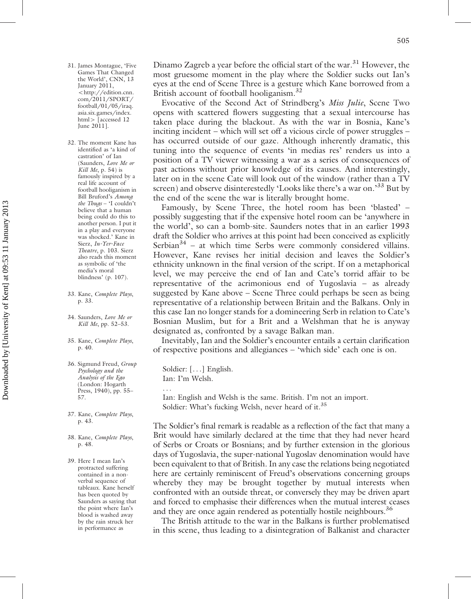- 31. James Montague, 'Five Games That Changed the World', CNN, 13 January 2011, 5[http://edition.cnn.](http://edition.cnn.com/2011/SPORT/football/01/05/iraq.asia.six.games/index.html) [com/2011/SPORT/](http://edition.cnn.com/2011/SPORT/football/01/05/iraq.asia.six.games/index.html) [football/01/05/iraq.](http://edition.cnn.com/2011/SPORT/football/01/05/iraq.asia.six.games/index.html) [asia.six.games/index.](http://edition.cnn.com/2011/SPORT/football/01/05/iraq.asia.six.games/index.html) [html](http://edition.cnn.com/2011/SPORT/football/01/05/iraq.asia.six.games/index.html)> [accessed 12 June 2011].
- 32. The moment Kane has identified as 'a kind of castration' of Ian (Saunders, *Love Me or Kill Me*, p. 54) is famously inspired by a real life account of football hooliganism in Bill Bruford's *Among the Thugs* – 'I couldn't believe that a human being could do this to another person. I put it in a play and everyone was shocked.' Kane in Sierz, *In-Yer-Face Theatre*, p. 103. Sierz also reads this moment as symbolic of 'the media's moral blindness' (p. 107).
- 33. Kane, *Complete Plays*, p. 33.
- 34. Saunders, *Love Me or Kill Me*, pp. 52–53.
- 35. Kane, *Complete Plays*, p. 40.
- 36. Sigmund Freud, *Group Psychology and the Analysis of the Ego* (London: Hogarth Press, 1940), pp. 55– 57.
- 37. Kane, *Complete Plays*, p. 43.
- 38. Kane, *Complete Plays*, p. 48.
- 39. Here I mean Ian's protracted suffering contained in a nonverbal sequence of tableaux. Kane herself has been quoted by Saunders as saying that the point where Ian's blood is washed away by the rain struck her in performance as

Dinamo Zagreb a year before the official start of the war.<sup>31</sup> However, the most gruesome moment in the play where the Soldier sucks out Ian's eyes at the end of Scene Three is a gesture which Kane borrowed from a British account of football hooliganism.<sup>32</sup>

Evocative of the Second Act of Strindberg's *Miss Julie*, Scene Two opens with scattered flowers suggesting that a sexual intercourse has taken place during the blackout. As with the war in Bosnia, Kane's inciting incident – which will set off a vicious circle of power struggles – has occurred outside of our gaze. Although inherently dramatic, this tuning into the sequence of events 'in medias res' renders us into a position of a TV viewer witnessing a war as a series of consequences of past actions without prior knowledge of its causes. And interestingly, later on in the scene Cate will look out of the window (rather than a TV screen) and observe disinterestedly 'Looks like there's a war on.'<sup>33</sup> But by the end of the scene the war is literally brought home.

Famously, by Scene Three, the hotel room has been 'blasted' – possibly suggesting that if the expensive hotel room can be 'anywhere in the world', so can a bomb-site. Saunders notes that in an earlier 1993 draft the Soldier who arrives at this point had been conceived as explicitly Serbian $34$  – at which time Serbs were commonly considered villains. However, Kane revises her initial decision and leaves the Soldier's ethnicity unknown in the final version of the script. If on a metaphorical level, we may perceive the end of Ian and Cate's torrid affair to be representative of the acrimonious end of Yugoslavia – as already suggested by Kane above – Scene Three could perhaps be seen as being representative of a relationship between Britain and the Balkans. Only in this case Ian no longer stands for a domineering Serb in relation to Cate's Bosnian Muslim, but for a Brit and a Welshman that he is anyway designated as, confronted by a savage Balkan man.

Inevitably, Ian and the Soldier's encounter entails a certain clarification of respective positions and allegiances – 'which side' each one is on.

Soldier: [. . .] English. Ian: I'm Welsh. ...

Ian: English and Welsh is the same. British. I'm not an import. Soldier: What's fucking Welsh, never heard of it.<sup>35</sup>

The Soldier's final remark is readable as a reflection of the fact that many a Brit would have similarly declared at the time that they had never heard of Serbs or Croats or Bosnians; and by further extension in the glorious days of Yugoslavia, the super-national Yugoslav denomination would have been equivalent to that of British. In any case the relations being negotiated here are certainly reminiscent of Freud's observations concerning groups whereby they may be brought together by mutual interests when confronted with an outside threat, or conversely they may be driven apart and forced to emphasise their differences when the mutual interest ceases and they are once again rendered as potentially hostile neighbours.<sup>36</sup>

The British attitude to the war in the Balkans is further problematised in this scene, thus leading to a disintegration of Balkanist and character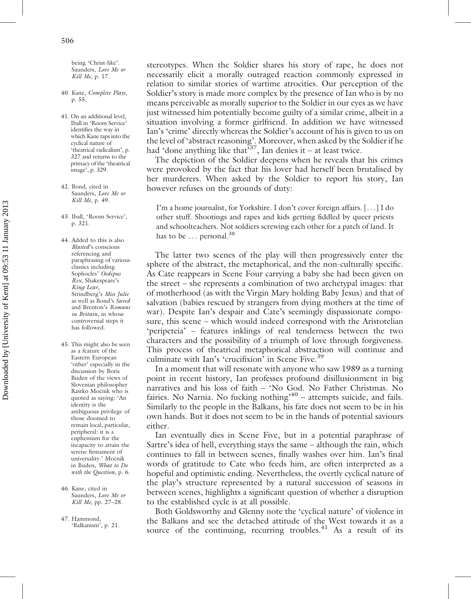being 'Christ-like'. Saunders, *Love Me or Kill Me*, p. 17.

- 40. Kane, *Complete Plays*, p. 55.
- 41. On an additional level, Iball in 'Room Service' identifies the way in which Kane taps into the cyclical nature of 'theatrical radicalism', p. 327 and returns to the primacy of the 'theatrical image', p. 329.
- 42. Bond, cited in Saunders, *Love Me or Kill Me*, p. 49.
- 43. Iball, 'Room Service', p. 321.
- 44. Added to this is also *Blasted*'s conscious referencing and paraphrasing of various classics including Sophocles' *Oedipus Rex*, Shakespeare's *King Lear*, Strindberg's *Miss Julie* as well as Bond's *Saved* and Brenton's *Romans in Britain*, in whose controversial steps it has followed.
- 45. This might also be seen as a feature of the Eastern European 'other' especially in the discussion by Boris Buden of the views of Slovenian philosopher Rastko Močnik who is quoted as saying: 'An identity is the ambiguous privilege of those doomed to remain local, particular, peripheral: it is a euphemism for the incapacity to attain the serene firmament of universality.' Močnik in Buden, *What to Do with the Question*, p. 6.
- 46. Kane, cited in Saunders, *Love Me or Kill Me*, pp. 27–28.
- 47. Hammond, 'Balkanism', p. 21.

stereotypes. When the Soldier shares his story of rape, he does not necessarily elicit a morally outraged reaction commonly expressed in relation to similar stories of wartime atrocities. Our perception of the Soldier's story is made more complex by the presence of Ian who is by no means perceivable as morally superior to the Soldier in our eyes as we have just witnessed him potentially become guilty of a similar crime, albeit in a situation involving a former girlfriend. In addition we have witnessed Ian's 'crime' directly whereas the Soldier's account of his is given to us on the level of 'abstract reasoning'. Moreover, when asked by the Soldier if he had 'done anything like that'<sup>37</sup>, Ian denies it – at least twice.

The depiction of the Soldier deepens when he reveals that his crimes were provoked by the fact that his lover had herself been brutalised by her murderers. When asked by the Soldier to report his story, Ian however refuses on the grounds of duty:

I'm a home journalist, for Yorkshire. I don't cover foreign affairs. [. . .] I do other stuff. Shootings and rapes and kids getting fiddled by queer priests and schoolteachers. Not soldiers screwing each other for a patch of land. It has to be ... personal.<sup>38</sup>

The latter two scenes of the play will then progressively enter the sphere of the abstract, the metaphorical, and the non-culturally specific. As Cate reappears in Scene Four carrying a baby she had been given on the street – she represents a combination of two archetypal images: that of motherhood (as with the Virgin Mary holding Baby Jesus) and that of salvation (babies rescued by strangers from dying mothers at the time of war). Despite Ian's despair and Cate's seemingly dispassionate composure, this scene – which would indeed correspond with the Aristotelian 'peripeteia' – features inklings of real tenderness between the two characters and the possibility of a triumph of love through forgiveness. This process of theatrical metaphorical abstraction will continue and culminate with Ian's 'crucifixion' in Scene Five.<sup>39</sup>

In a moment that will resonate with anyone who saw 1989 as a turning point in recent history, Ian professes profound disillusionment in big narratives and his loss of faith – 'No God. No Father Christmas. No fairies. No Narnia. No fucking nothing $x^{40}$  – attempts suicide, and fails. Similarly to the people in the Balkans, his fate does not seem to be in his own hands. But it does not seem to be in the hands of potential saviours either.

Ian eventually dies in Scene Five, but in a potential paraphrase of Sartre's idea of hell, everything stays the same – although the rain, which continues to fall in between scenes, finally washes over him. Ian's final words of gratitude to Cate who feeds him, are often interpreted as a hopeful and optimistic ending. Nevertheless, the overtly cyclical nature of the play's structure represented by a natural succession of seasons in between scenes, highlights a significant question of whether a disruption to the established cycle is at all possible.

Both Goldsworthy and Glenny note the 'cyclical nature' of violence in the Balkans and see the detached attitude of the West towards it as a source of the continuing, recurring troubles. $^{41}$  As a result of its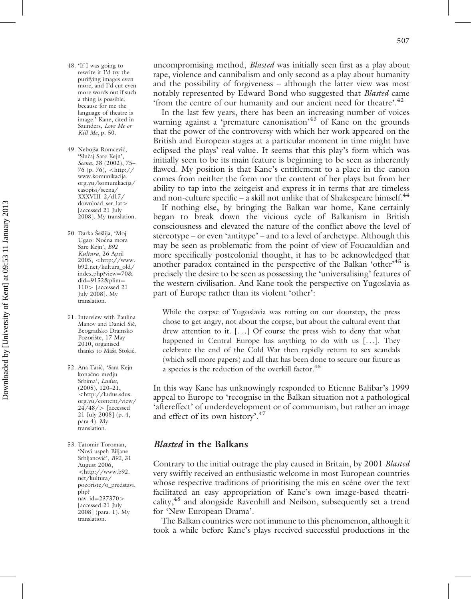- 48. 'If I was going to rewrite it I'd try the purifying images even more, and I'd cut even more words out if such a thing is possible, because for me the language of theatre is image.' Kane, cited in Saunders, *Love Me or Kill Me*, p. 50.
- 49. Nebojša Romčević, 'Slučaj Sare Kejn', *Scena*, 38 (2002), 75– 76 (p. 76),  $\langle$  [http://](http://www.komunikacija.org.yu/komunikacija/casopisi/scena/XXXVIII_2/d17/download_ser_lat) [www.komunikacija.](http://www.komunikacija.org.yu/komunikacija/casopisi/scena/XXXVIII_2/d17/download_ser_lat) [org.yu/komunikacija/](http://www.komunikacija.org.yu/komunikacija/casopisi/scena/XXXVIII_2/d17/download_ser_lat) [casopisi/scena/](http://www.komunikacija.org.yu/komunikacija/casopisi/scena/XXXVIII_2/d17/download_ser_lat) [XXXVIII\\_2/d17/](http://www.komunikacija.org.yu/komunikacija/casopisi/scena/XXXVIII_2/d17/download_ser_lat) [download\\_ser\\_lat](http://www.komunikacija.org.yu/komunikacija/casopisi/scena/XXXVIII_2/d17/download_ser_lat)4 [accessed 21 July] 2008]. My translation.
- 50. Darka Šešlija, 'Moj Ugao: Noćna mora Sare Kejn', *B92 Kultura*, 26 April  $2005,$  <[http://www.](http://www.b92.net/kultura_old/index.php?view=70&did=9152&plim=110) [b92.net/kultura\\_old/](http://www.b92.net/kultura_old/index.php?view=70&did=9152&plim=110) [index.php?view](http://www.b92.net/kultura_old/index.php?view=70&did=9152&plim=110)=[70&](http://www.b92.net/kultura_old/index.php?view=70&did=9152&plim=110) [did](http://www.b92.net/kultura_old/index.php?view=70&did=9152&plim=110)= $9152$ &plim=  $110$  > [accessed 21 July 2008]. My translation.
- 51. Interview with Paulina Manov and Daniel Sič, Beogradsko Dramsko Pozorište, 17 May 2010, organised thanks to Maša Stokić.
- 52. Ana Tasić, 'Sara Kejn konačno medju Srbima', *Ludus*, (2005), 120–21, 5[http://ludus.sdus.](http://ludus.sdus.org.yu/content/view/24/48/) [org.yu/content/view/](http://ludus.sdus.org.yu/content/view/24/48/)  $24/48$  / > [accessed 21 July 2008] (p. 4, para 4). My translation.
- 53. Tatomir Toroman, 'Novi uspeh Biljane Srbljanovic´', *B92*, 31 August 2006, 5[http://www.b92.](http://www.b92.net/kultura/pozoriste/o_predstavi.php?nav_id=237370) [net/kultura/](http://www.b92.net/kultura/pozoriste/o_predstavi.php?nav_id=237370) [pozoriste/o\\_predstavi.](http://www.b92.net/kultura/pozoriste/o_predstavi.php?nav_id=237370) [php?](http://www.b92.net/kultura/pozoriste/o_predstavi.php?nav_id=237370) [nav\\_id](http://www.b92.net/kultura/pozoriste/o_predstavi.php?nav_id=237370)=[237370](http://www.b92.net/kultura/pozoriste/o_predstavi.php?nav_id=237370)> [accessed 21 July 2008] (para. 1). My translation.

uncompromising method, *Blasted* was initially seen first as a play about rape, violence and cannibalism and only second as a play about humanity and the possibility of forgiveness – although the latter view was most notably represented by Edward Bond who suggested that *Blasted* came 'from the centre of our humanity and our ancient need for theatre'.<sup>42</sup>

In the last few years, there has been an increasing number of voices warning against a 'premature canonisation'<sup>43</sup> of Kane on the grounds that the power of the controversy with which her work appeared on the British and European stages at a particular moment in time might have eclipsed the plays' real value. It seems that this play's form which was initially seen to be its main feature is beginning to be seen as inherently flawed. My position is that Kane's entitlement to a place in the canon comes from neither the form nor the content of her plays but from her ability to tap into the zeitgeist and express it in terms that are timeless and non-culture specific – a skill not unlike that of Shakespeare himself.<sup>44</sup>

If nothing else, by bringing the Balkan war home, Kane certainly began to break down the vicious cycle of Balkanism in British consciousness and elevated the nature of the conflict above the level of stereotype – or even 'antitype' – and to a level of archetype. Although this may be seen as problematic from the point of view of Foucauldian and more specifically postcolonial thought, it has to be acknowledged that another paradox contained in the perspective of the Balkan 'other'<sup>45</sup> is precisely the desire to be seen as possessing the 'universalising' features of the western civilisation. And Kane took the perspective on Yugoslavia as part of Europe rather than its violent 'other':

While the corpse of Yugoslavia was rotting on our doorstep, the press chose to get angry, not about the corpse, but about the cultural event that drew attention to it. [. . .] Of course the press wish to deny that what happened in Central Europe has anything to do with us  $[\dots]$ . They celebrate the end of the Cold War then rapidly return to sex scandals (which sell more papers) and all that has been done to secure our future as a species is the reduction of the overkill factor.<sup>46</sup>

In this way Kane has unknowingly responded to Etienne Balibar's 1999 appeal to Europe to 'recognise in the Balkan situation not a pathological 'aftereffect' of underdevelopment or of communism, but rather an image and effect of its own history'.<sup>47</sup>

#### Blasted in the Balkans

Contrary to the initial outrage the play caused in Britain, by 2001 *Blasted* very swiftly received an enthusiastic welcome in most European countries whose respective traditions of prioritising the mis en scéne over the text facilitated an easy appropriation of Kane's own image-based theatricality,<sup>48</sup> and alongside Ravenhill and Neilson, subsequently set a trend for 'New European Drama'.

The Balkan countries were not immune to this phenomenon, although it took a while before Kane's plays received successful productions in the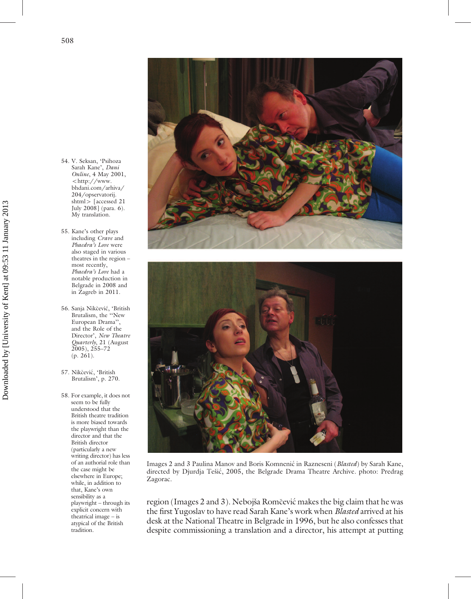- 54. V. Seksan, 'Psihoza Sarah Kane', *Dani Online*, 4 May 2001, 5[http://www.](http://www.bhdani.com/arhiva/204/opservatorij.shtml) [bhdani.com/arhiva/](http://www.bhdani.com/arhiva/204/opservatorij.shtml) [204/opservatorij.](http://www.bhdani.com/arhiva/204/opservatorij.shtml) [shtml](http://www.bhdani.com/arhiva/204/opservatorij.shtml) > [accessed 21 July 2008] (para. 6). My translation.
- 55. Kane's other plays including *Crave* and *Phaedra's Love* were also staged in various theatres in the region – most recently, *Phaedra's Love* had a notable production in Belgrade in 2008 and in Zagreb in 2011.
- 56. Sanja Nikčević, 'British Brutalism, the ''New European Drama'', and the Role of the Director', *New Theatre Quarterly*, 21 (August 2005), 255–72 (p. 261).
- 57. Nikčević, 'British Brutalism', p. 270.
- 58. For example, it does not seem to be fully understood that the British theatre tradition is more biased towards the playwright than the director and that the British director (particularly a new writing director) has less of an authorial role than the case might be elsewhere in Europe; while, in addition to that, Kane's own sensibility as a playwright – through its explicit concern with theatrical image – is atypical of the British tradition.





Images 2 and 3 Paulina Manov and Boris Komnenic´ in Razneseni (*Blasted*) by Sarah Kane, directed by Djurdja Tešić, 2005, the Belgrade Drama Theatre Archive. photo: Predrag Zagorac.

region (Images 2 and 3). Nebojša Romčević makes the big claim that he was the first Yugoslav to have read Sarah Kane's work when *Blasted* arrived at his desk at the National Theatre in Belgrade in 1996, but he also confesses that despite commissioning a translation and a director, his attempt at putting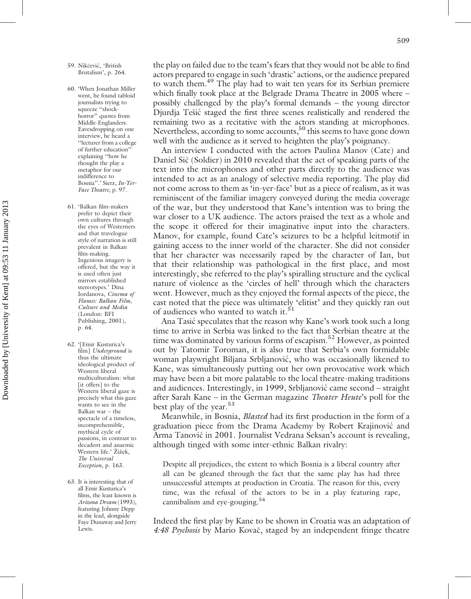- 59. Nikčević, 'British Brutalism', p. 264.
- 60. 'When Jonathan Miller went, he found tabloid journalists trying to squeeze "shockhorror'' quotes from Middle-Englanders. Eavesdropping on one interview, he heard a ''lecturer from a college of further education'' explaining ''how he thought the play a metaphor for our indifference to Bosnia''.' Sierz, *In-Yer-Face Theatre*, p. 97.
- 61. 'Balkan film-makers prefer to depict their own cultures through the eyes of Westerners and that travelogue style of narration is still prevalent in Balkan film-making. Ingenious imagery is offered, but the way it is used often just mirrors established stereotypes.' Dina Iordanova, *Cinema of Flames: Balkan Film, Culture and Media* (London: BFI Publishing, 2001), p. 64.
- 62. '[Emir Kusturica's film] *Underground* is thus the ultimate ideological product of Western liberal multiculturalism: what [it offers] to the Western liberal gaze is precisely what this gaze wants to see in the Balkan war – the spectacle of a timeless, incomprehensible, mythical cycle of passions, in contrast to decadent and anaemic Western life.' Žižek. *The Universal Exception*, p. 163.
- 63. It is interesting that of all Emir Kusturica's films, the least known is *Arizona Dream* (1993), featuring Johnny Depp in the lead, alongside Faye Dunaway and Jerry Lewis.

the play on failed due to the team's fears that they would not be able to find actors prepared to engage in such 'drastic' actions, or the audience prepared to watch them.<sup>49</sup> The play had to wait ten years for its Serbian premiere which finally took place at the Belgrade Drama Theatre in 2005 where – possibly challenged by the play's formal demands – the young director Djurdja Tešić staged the first three scenes realistically and rendered the remaining two as a recitative with the actors standing at microphones. Nevertheless, according to some accounts,<sup>50</sup> this seems to have gone down well with the audience as it served to heighten the play's poignancy.

An interview I conducted with the actors Paulina Manov (Cate) and Daniel Sič (Soldier) in 2010 revealed that the act of speaking parts of the text into the microphones and other parts directly to the audience was intended to act as an analogy of selective media reporting. The play did not come across to them as 'in-yer-face' but as a piece of realism, as it was reminiscent of the familiar imagery conveyed during the media coverage of the war, but they understood that Kane's intention was to bring the war closer to a UK audience. The actors praised the text as a whole and the scope it offered for their imaginative input into the characters. Manov, for example, found Cate's seizures to be a helpful leitmotif in gaining access to the inner world of the character. She did not consider that her character was necessarily raped by the character of Ian, but that their relationship was pathological in the first place, and most interestingly, she referred to the play's spiralling structure and the cyclical nature of violence as the 'circles of hell' through which the characters went. However, much as they enjoyed the formal aspects of the piece, the cast noted that the piece was ultimately 'elitist' and they quickly ran out of audiences who wanted to watch it.<sup>51</sup>

Ana Tasić speculates that the reason why Kane's work took such a long time to arrive in Serbia was linked to the fact that Serbian theatre at the time was dominated by various forms of escapism.<sup>52</sup> However, as pointed out by Tatomir Toroman, it is also true that Serbia's own formidable woman playwright Biljana Srbljanović, who was occasionally likened to Kane, was simultaneously putting out her own provocative work which may have been a bit more palatable to the local theatre-making traditions and audiences. Interestingly, in 1999, Srbljanović came second – straight after Sarah Kane – in the German magazine *Theater Heute*'s poll for the best play of the year.<sup>53</sup>

Meanwhile, in Bosnia, *Blasted* had its first production in the form of a graduation piece from the Drama Academy by Robert Krajinović and Arma Tanović in 2001. Journalist Vedrana Seksan's account is revealing, although tinged with some inter-ethnic Balkan rivalry:

Despite all prejudices, the extent to which Bosnia is a liberal country after all can be gleaned through the fact that the same play has had three unsuccessful attempts at production in Croatia. The reason for this, every time, was the refusal of the actors to be in a play featuring rape, cannibalism and eye-gouging.<sup>54</sup>

Indeed the first play by Kane to be shown in Croatia was an adaptation of 4:48 Psychosis by Mario Kovač, staged by an independent fringe theatre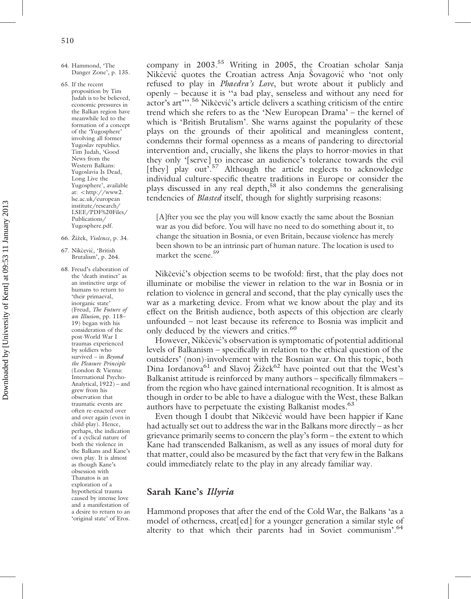- 64. Hammond, 'The Danger Zone', p. 135.
- 65. If the recent proposition by Tim Judah is to be believed, economic pressures in the Balkan region have meanwhile led to the formation of a concept of the 'Yugosphere' involving all former Yugoslav republics. Tim Judah, 'Good News from the Western Balkans: Yugoslavia Is Dead, Long Live the Yugosphere', available at: <http://www2. lse.ac.uk/european institute/research/ LSEE/PDF%20Files/ Publications/ Yugosphere.pdf.
- 66. Zˇizˇek, *Violence*, p. 34.
- 67. Nikčević, 'British Brutalism', p. 264.
- 68. Freud's elaboration of the 'death instinct' as an instinctive urge of humans to return to 'their primaeval, inorganic state' (Freud, *The Future of an Illusion*, pp. 118– 19) began with his consideration of the post-World War I traumas experienced by soldiers who survived – in *Beyond the Pleasure Principle* (London & Vienna: International Psycho-Analytical, 1922) – and grew from his observation that traumatic events are often re-enacted over and over again (even in child-play). Hence, perhaps, the indication of a cyclical nature of both the violence in the Balkans and Kane's own play. It is almost as though Kane's obsession with Thanatos is an exploration of a hypothetical trauma caused by intense love and a manifestation of a desire to return to an 'original state' of Eros.

company in 2003.<sup>55</sup> Writing in 2005, the Croatian scholar Sanja Nikčević quotes the Croatian actress Anja Šovagović who 'not only refused to play in *Phaedra's Love*, but wrote about it publicly and openly – because it is ''a bad play, senseless and without any need for actor's art"'.<sup>56</sup> Nikčević's article delivers a scathing criticism of the entire trend which she refers to as the 'New European Drama' – the kernel of which is 'British Brutalism'. She warns against the popularity of these plays on the grounds of their apolitical and meaningless content, condemns their formal openness as a means of pandering to directorial intervention and, crucially, she likens the plays to horror-movies in that they only '[serve] to increase an audience's tolerance towards the evil [they] play out<sup>7.57</sup> Although the article neglects to acknowledge individual culture-specific theatre traditions in Europe or consider the plays discussed in any real depth,<sup>58</sup> it also condemns the generalising tendencies of *Blasted* itself, though for slightly surprising reasons:

[A]fter you see the play you will know exactly the same about the Bosnian war as you did before. You will have no need to do something about it, to change the situation in Bosnia, or even Britain, because violence has merely been shown to be an intrinsic part of human nature. The location is used to market the scene.<sup>59</sup>

Nikčević's objection seems to be twofold: first, that the play does not illuminate or mobilise the viewer in relation to the war in Bosnia or in relation to violence in general and second, that the play cynically uses the war as a marketing device. From what we know about the play and its effect on the British audience, both aspects of this objection are clearly unfounded – not least because its reference to Bosnia was implicit and only deduced by the viewers and critics.<sup>60</sup>

However, Nikčević's observation is symptomatic of potential additional levels of Balkanism – specifically in relation to the ethical question of the outsiders' (non)-involvement with the Bosnian war. On this topic, both Dina Iordanova<sup>61</sup> and Slavoj Žižek<sup>62</sup> have pointed out that the West's Balkanist attitude is reinforced by many authors – specifically filmmakers – from the region who have gained international recognition. It is almost as though in order to be able to have a dialogue with the West, these Balkan authors have to perpetuate the existing Balkanist modes.<sup>63</sup>

Even though I doubt that Nikčević would have been happier if Kane had actually set out to address the war in the Balkans more directly – as her grievance primarily seems to concern the play's form – the extent to which Kane had transcended Balkanism, as well as any issues of moral duty for that matter, could also be measured by the fact that very few in the Balkans could immediately relate to the play in any already familiar way.

#### Sarah Kane's Illyria

Hammond proposes that after the end of the Cold War, the Balkans 'as a model of otherness, creat[ed] for a younger generation a similar style of alterity to that which their parents had in Soviet communism'.<sup>64</sup>